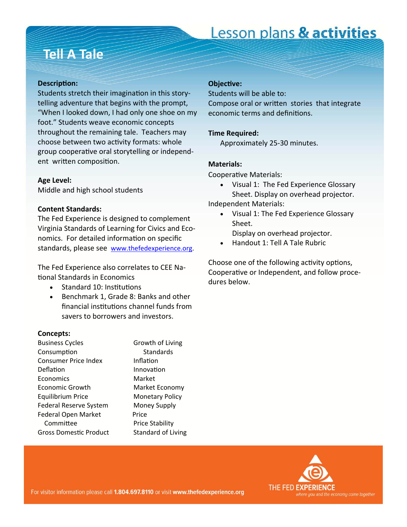# Lesson plans & activities

## **Tell A Tale**

## **DescripƟon:**

Students stretch their imagination in this storytelling adventure that begins with the prompt, "When I looked down, I had only one shoe on my foot." Students weave economic concepts throughout the remaining tale. Teachers may choose between two activity formats: whole group cooperative oral storytelling or independent written composition.

### **Age Level:**

Middle and high school students

## **Content Standards:**

The Fed Experience is designed to complement Virginia Standards of Learning for Civics and Economics. For detailed information on specific standards, please see [www.thefedexperience.org](http://thefedexperience.org/education/TFE%20SOLs.pdf).

The Fed Experience also correlates to CEE National Standards in Economics

- Standard 10: Institutions
- Benchmark 1, Grade 8: Banks and other financial institutions channel funds from savers to borrowers and investors.

## **Concepts:**

| <b>Business Cycles</b>        | Growth of Livi         |
|-------------------------------|------------------------|
| Consumption                   | <b>Standards</b>       |
| <b>Consumer Price Index</b>   | Inflation              |
| Deflation                     | Innovation             |
| Economics                     | Market                 |
| Economic Growth               | Market Econo           |
| <b>Equilibrium Price</b>      | Monetary Poli          |
| Federal Reserve System        | Money Supply           |
| Federal Open Market           | Price                  |
| Committee                     | <b>Price Stability</b> |
| <b>Gross Domestic Product</b> | Standard of Li         |
|                               |                        |

of Living Economy ry Policy Supply Ibility d of Living

## **ObjecƟve:**

Students will be able to: Compose oral or written stories that integrate economic terms and definitions.

## **Time Required:**

Approximately 25-30 minutes.

## **Materials:**

Cooperative Materials:

- Visual 1: The Fed Experience Glossary Sheet. Display on overhead projector. Independent Materials:
	- Visual 1: The Fed Experience Glossary
		- Sheet. Display on overhead projector.
		- Handout 1: Tell A Tale Rubric

Choose one of the following activity options, Cooperative or Independent, and follow procedures below.

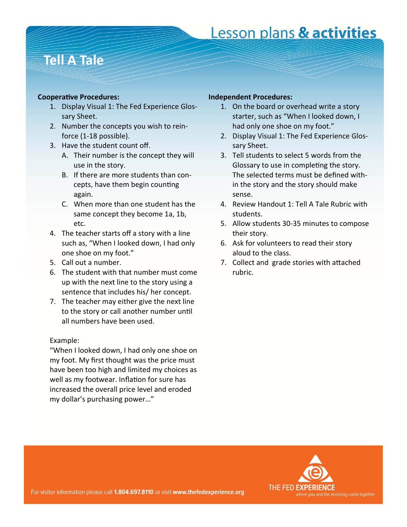# Lesson plans & activities

## **Tell A Tale**

## **CooperaƟve Procedures:**

- 1. Display Visual 1: The Fed Experience Glossary Sheet.
- 2. Number the concepts you wish to reinforce (1-18 possible).
- 3. Have the student count off.
	- A. Their number is the concept they will use in the story.
	- B. If there are more students than concepts, have them begin counting again.
	- C. When more than one student has the same concept they become 1a, 1b, etc.
- 4. The teacher starts off a story with a line such as, "When I looked down, I had only one shoe on my foot."
- 5. Call out a number.
- 6. The student with that number must come up with the next line to the story using a sentence that includes his/ her concept.
- 7. The teacher may either give the next line to the story or call another number until all numbers have been used.

## Example:

"When I looked down, I had only one shoe on my foot. My first thought was the price must have been too high and limited my choices as well as my footwear. Inflation for sure has increased the overall price level and eroded my dollar's purchasing power…"

## **Independent Procedures:**

- 1. On the board or overhead write a story starter, such as "When I looked down, I had only one shoe on my foot."
- 2. Display Visual 1: The Fed Experience Glossary Sheet.
- 3. Tell students to select 5 words from the Glossary to use in completing the story. The selected terms must be defined within the story and the story should make sense.
- 4. Review Handout 1: Tell A Tale Rubric with students.
- 5. Allow students 30-35 minutes to compose their story.
- 6. Ask for volunteers to read their story aloud to the class.
- 7. Collect and grade stories with attached rubric.

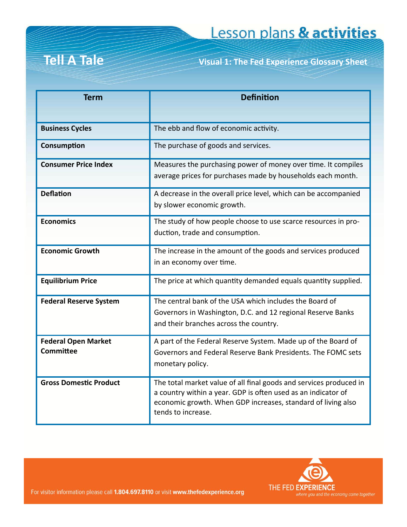# **Tell A Tale**

**Tell A Tale Visual 1: The Fed Experience Glossary Sheet**

| <b>Term</b>                   | <b>Definition</b>                                                                                                            |  |
|-------------------------------|------------------------------------------------------------------------------------------------------------------------------|--|
|                               |                                                                                                                              |  |
| <b>Business Cycles</b>        | The ebb and flow of economic activity.                                                                                       |  |
| Consumption                   | The purchase of goods and services.                                                                                          |  |
| <b>Consumer Price Index</b>   | Measures the purchasing power of money over time. It compiles<br>average prices for purchases made by households each month. |  |
|                               |                                                                                                                              |  |
| <b>Deflation</b>              | A decrease in the overall price level, which can be accompanied                                                              |  |
|                               | by slower economic growth.                                                                                                   |  |
| <b>Economics</b>              | The study of how people choose to use scarce resources in pro-                                                               |  |
|                               | duction, trade and consumption.                                                                                              |  |
| <b>Economic Growth</b>        | The increase in the amount of the goods and services produced                                                                |  |
|                               | in an economy over time.                                                                                                     |  |
| <b>Equilibrium Price</b>      | The price at which quantity demanded equals quantity supplied.                                                               |  |
| <b>Federal Reserve System</b> | The central bank of the USA which includes the Board of                                                                      |  |
|                               | Governors in Washington, D.C. and 12 regional Reserve Banks                                                                  |  |
|                               | and their branches across the country.                                                                                       |  |
| <b>Federal Open Market</b>    | A part of the Federal Reserve System. Made up of the Board of                                                                |  |
| Committee                     | Governors and Federal Reserve Bank Presidents. The FOMC sets                                                                 |  |
|                               | monetary policy.                                                                                                             |  |
| <b>Gross Domestic Product</b> | The total market value of all final goods and services produced in                                                           |  |
|                               | a country within a year. GDP is often used as an indicator of                                                                |  |
|                               | economic growth. When GDP increases, standard of living also<br>tends to increase.                                           |  |
|                               |                                                                                                                              |  |



For visitor information please call 1.804.697.8110 or visit www.thefedexperience.org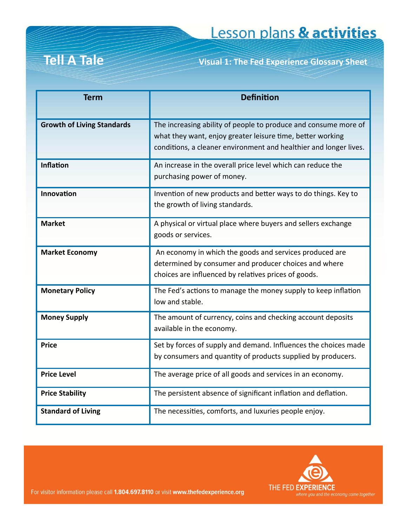**Tell A Tale Visual 1: The Fed Experience Glossary Sheet**

| <b>Term</b>                       | <b>Definition</b>                                                                                                                                                                                  |
|-----------------------------------|----------------------------------------------------------------------------------------------------------------------------------------------------------------------------------------------------|
| <b>Growth of Living Standards</b> | The increasing ability of people to produce and consume more of<br>what they want, enjoy greater leisure time, better working<br>conditions, a cleaner environment and healthier and longer lives. |
| <b>Inflation</b>                  | An increase in the overall price level which can reduce the<br>purchasing power of money.                                                                                                          |
| Innovation                        | Invention of new products and better ways to do things. Key to<br>the growth of living standards.                                                                                                  |
| <b>Market</b>                     | A physical or virtual place where buyers and sellers exchange<br>goods or services.                                                                                                                |
| <b>Market Economy</b>             | An economy in which the goods and services produced are<br>determined by consumer and producer choices and where<br>choices are influenced by relatives prices of goods.                           |
| <b>Monetary Policy</b>            | The Fed's actions to manage the money supply to keep inflation<br>low and stable.                                                                                                                  |
| <b>Money Supply</b>               | The amount of currency, coins and checking account deposits<br>available in the economy.                                                                                                           |
| <b>Price</b>                      | Set by forces of supply and demand. Influences the choices made<br>by consumers and quantity of products supplied by producers.                                                                    |
| <b>Price Level</b>                | The average price of all goods and services in an economy.                                                                                                                                         |
| <b>Price Stability</b>            | The persistent absence of significant inflation and deflation.                                                                                                                                     |
| <b>Standard of Living</b>         | The necessities, comforts, and luxuries people enjoy.                                                                                                                                              |



For visitor information please call 1.804.697.8110 or visit www.thefedexperience.org